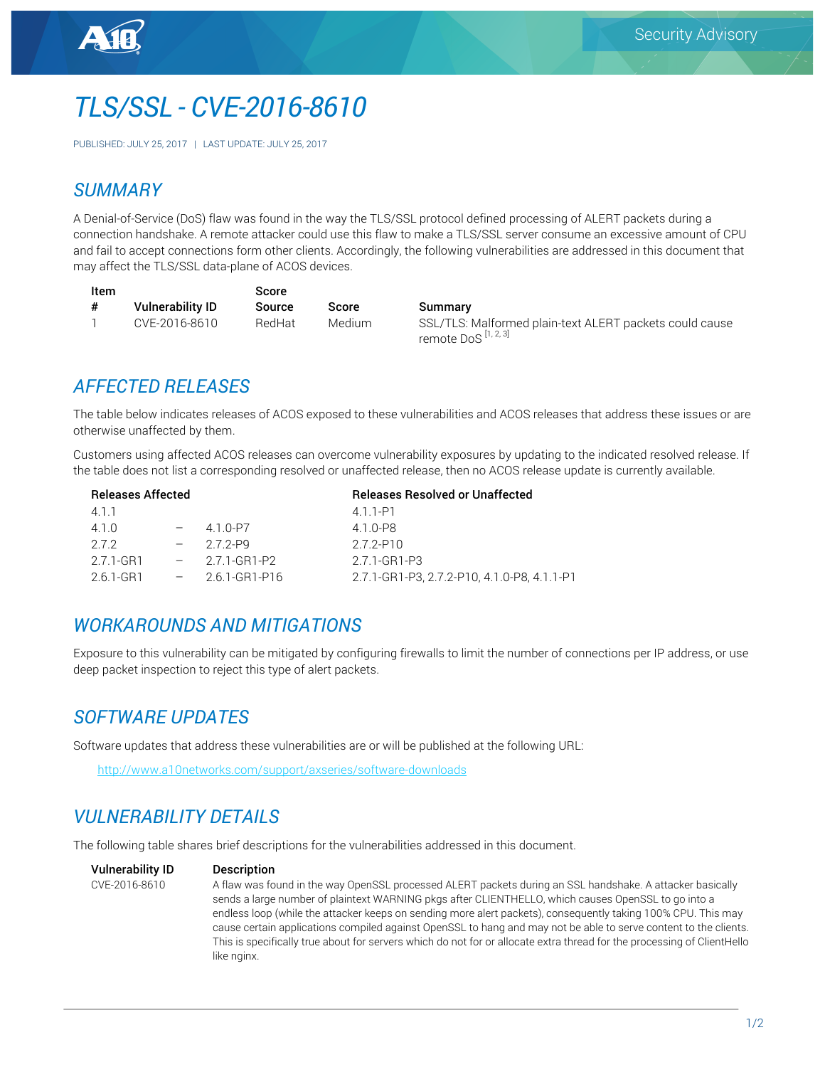# *TLS/SSL - CVE-2016-8610*

PUBLISHED: JULY 25, 2017 | LAST UPDATE: JULY 25, 2017

#### *SUMMARY*

A Denial-of-Service (DoS) flaw was found in the way the TLS/SSL protocol defined processing of ALERT packets during a connection handshake. A remote attacker could use this flaw to make a TLS/SSL server consume an excessive amount of CPU and fail to accept connections form other clients. Accordingly, the following vulnerabilities are addressed in this document that may affect the TLS/SSL data-plane of ACOS devices.

| Item |                         | Score  |         |                                                               |  |
|------|-------------------------|--------|---------|---------------------------------------------------------------|--|
| #    | <b>Vulnerability ID</b> | Source | Score   | Summary                                                       |  |
|      | CVE-2016-8610           | RedHat | Medium. | SSL/TLS: Malforme<br>$r$ amata Da $\Omega$ <sup>[1,2,3]</sup> |  |

ed plain-text ALERT packets could cause remote DoS [1, 2, 3]

#### *AFFECTED RELEASES*

The table below indicates releases of ACOS exposed to these vulnerabilities and ACOS releases that address these issues or are otherwise unaffected by them.

Customers using affected ACOS releases can overcome vulnerability exposures by updating to the indicated resolved release. If the table does not list a corresponding resolved or unaffected release, then no ACOS release update is currently available.

| <b>Releases Affected</b> |           |  |                      | <b>Releases Resolved or Unaffected</b>      |  |  |
|--------------------------|-----------|--|----------------------|---------------------------------------------|--|--|
|                          | 411       |  |                      | 411-P1                                      |  |  |
|                          | 4.1.0     |  | 4 1 0-P7             | 410-P8                                      |  |  |
|                          | 272       |  | $-272-P9$            | 272-P10                                     |  |  |
|                          | 2.7.1-GR1 |  | $-2.7.1 - GR1 - P2$  | 2.7.1-GR1-P3                                |  |  |
|                          | 2.6.1-GR1 |  | $-2.6.1 - GR1 - P16$ | 2.7.1-GR1-P3, 2.7.2-P10, 4.1.0-P8, 4.1.1-P1 |  |  |

#### *WORKAROUNDS AND MITIGATIONS*

Exposure to this vulnerability can be mitigated by configuring firewalls to limit the number of connections per IP address, or use deep packet inspection to reject this type of alert packets.

# *SOFTWARE UPDATES*

Software updates that address these vulnerabilities are or will be published at the following URL:

http://www.a10networks.com/support/axseries/software-downloads

## *VULNERABILITY DETAILS*

The following table shares brief descriptions for the vulnerabilities addressed in this document.

#### Vulnerability ID Description

CVE-2016-8610 A flaw was found in the way OpenSSL processed ALERT packets during an SSL handshake. A attacker basically sends a large number of plaintext WARNING pkgs after CLIENTHELLO, which causes OpenSSL to go into a endless loop (while the attacker keeps on sending more alert packets), consequently taking 100% CPU. This may cause certain applications compiled against OpenSSL to hang and may not be able to serve content to the clients. This is specifically true about for servers which do not for or allocate extra thread for the processing of ClientHello like nginx.